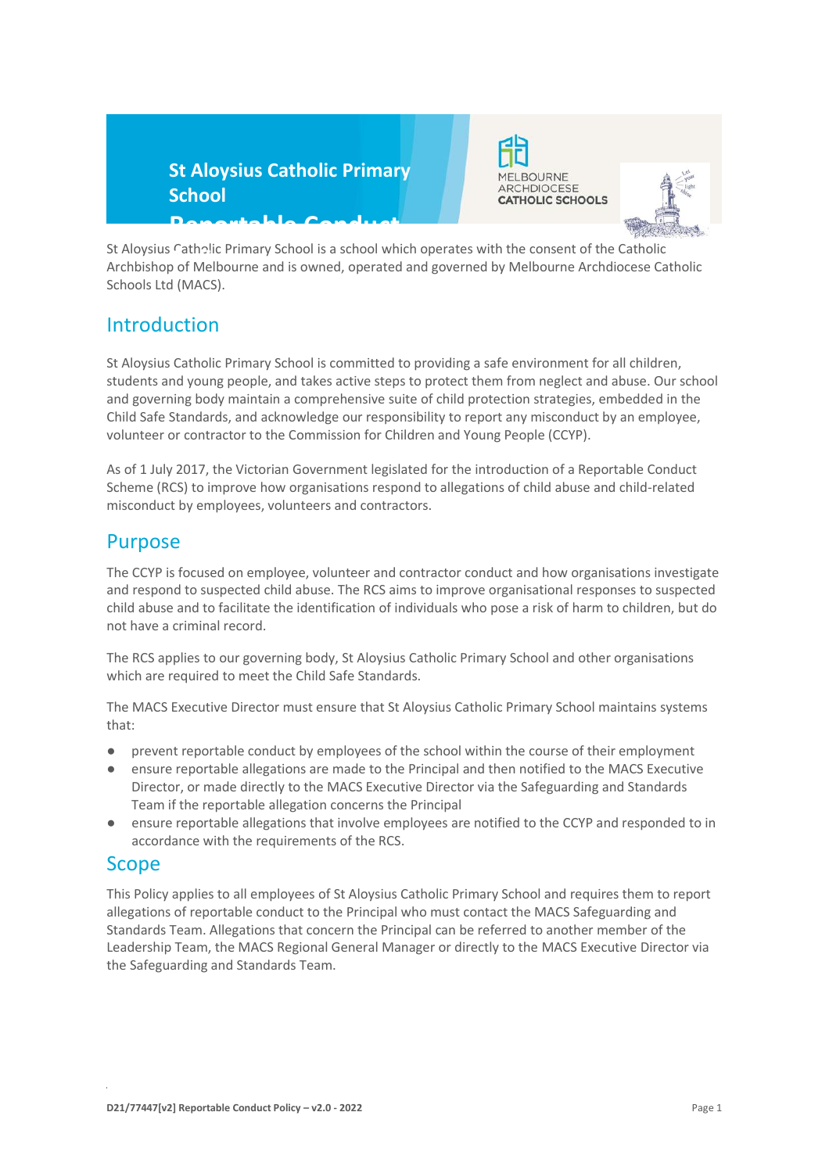





St Aloysius Catholic Primary School is a school which operates with the consent of the Catholic St Aloysius Catholic Primary School is a school which operates with the consent of the Catholic<br>Archbishop of Melbourne and is owned, operated and governed by Melbourne Archdiocese Catholic Schools Ltd (MACS). **Reportable Conduct** 

## **Introduction**

St Aloysius Catholic Primary School is committed to providing a safe environment for all children, students and young people, and takes active steps to protect them from neglect and abuse. Our school and governing body maintain a comprehensive suite of child protection strategies, embedded in the Child Safe Standards, and acknowledge our responsibility to report any misconduct by an employee, volunteer or contractor to the Commission for Children and Young People (CCYP).

As of 1 July 2017, the Victorian Government legislated for the introduction of a Reportable Conduct Scheme (RCS) to improve how organisations respond to allegations of child abuse and child-related misconduct by employees, volunteers and contractors.

## Purpose

The CCYP is focused on employee, volunteer and contractor conduct and how organisations investigate and respond to suspected child abuse. The RCS aims to improve organisational responses to suspected child abuse and to facilitate the identification of individuals who pose a risk of harm to children, but do not have a criminal record.

The RCS applies to our governing body, St Aloysius Catholic Primary School and other organisations which are required to meet the Child Safe Standards.

The MACS Executive Director must ensure that St Aloysius Catholic Primary School maintains systems that:

- prevent reportable conduct by employees of the school within the course of their employment
- ensure reportable allegations are made to the Principal and then notified to the MACS Executive Director, or made directly to the MACS Executive Director via the Safeguarding and Standards Team if the reportable allegation concerns the Principal
- ensure reportable allegations that involve employees are notified to the CCYP and responded to in accordance with the requirements of the RCS.

## Scope

This Policy applies to all employees of St Aloysius Catholic Primary School and requires them to report allegations of reportable conduct to the Principal who must contact the MACS Safeguarding and Standards Team. Allegations that concern the Principal can be referred to another member of the Leadership Team, the MACS Regional General Manager or directly to the MACS Executive Director via the Safeguarding and Standards Team.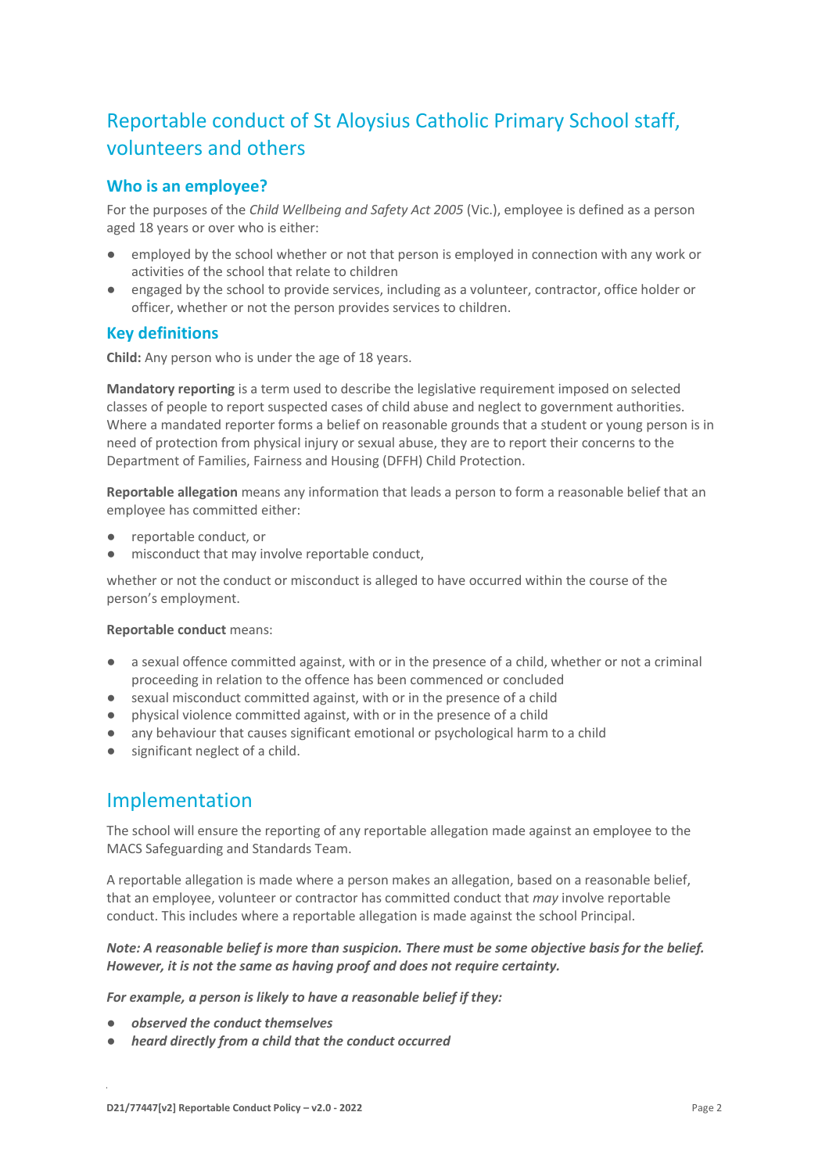# Reportable conduct of St Aloysius Catholic Primary School staff, volunteers and others

### **Who is an employee?**

For the purposes of the *Child Wellbeing and Safety Act 2005* (Vic.), employee is defined as a person aged 18 years or over who is either:

- employed by the school whether or not that person is employed in connection with any work or activities of the school that relate to children
- engaged by the school to provide services, including as a volunteer, contractor, office holder or officer, whether or not the person provides services to children.

### **Key definitions**

**Child:** Any person who is under the age of 18 years.

**Mandatory reporting** is a term used to describe the legislative requirement imposed on selected classes of people to report suspected cases of child abuse and neglect to government authorities. Where a mandated reporter forms a belief on reasonable grounds that a student or young person is in need of protection from physical injury or sexual abuse, they are to report their concerns to the Department of Families, Fairness and Housing (DFFH) Child Protection.

**Reportable allegation** means any information that leads a person to form a reasonable belief that an employee has committed either:

- reportable conduct, or
- misconduct that may involve reportable conduct,

whether or not the conduct or misconduct is alleged to have occurred within the course of the person's employment.

#### **Reportable conduct** means:

- a sexual offence committed against, with or in the presence of a child, whether or not a criminal proceeding in relation to the offence has been commenced or concluded
- sexual misconduct committed against, with or in the presence of a child
- physical violence committed against, with or in the presence of a child
- any behaviour that causes significant emotional or psychological harm to a child
- significant neglect of a child.

## Implementation

The school will ensure the reporting of any reportable allegation made against an employee to the MACS Safeguarding and Standards Team.

A reportable allegation is made where a person makes an allegation, based on a reasonable belief, that an employee, volunteer or contractor has committed conduct that *may* involve reportable conduct. This includes where a reportable allegation is made against the school Principal.

#### *Note: A reasonable belief is more than suspicion. There must be some objective basis for the belief. However, it is not the same as having proof and does not require certainty.*

*For example, a person is likely to have a reasonable belief if they:*

- *observed the conduct themselves*
- *heard directly from a child that the conduct occurred*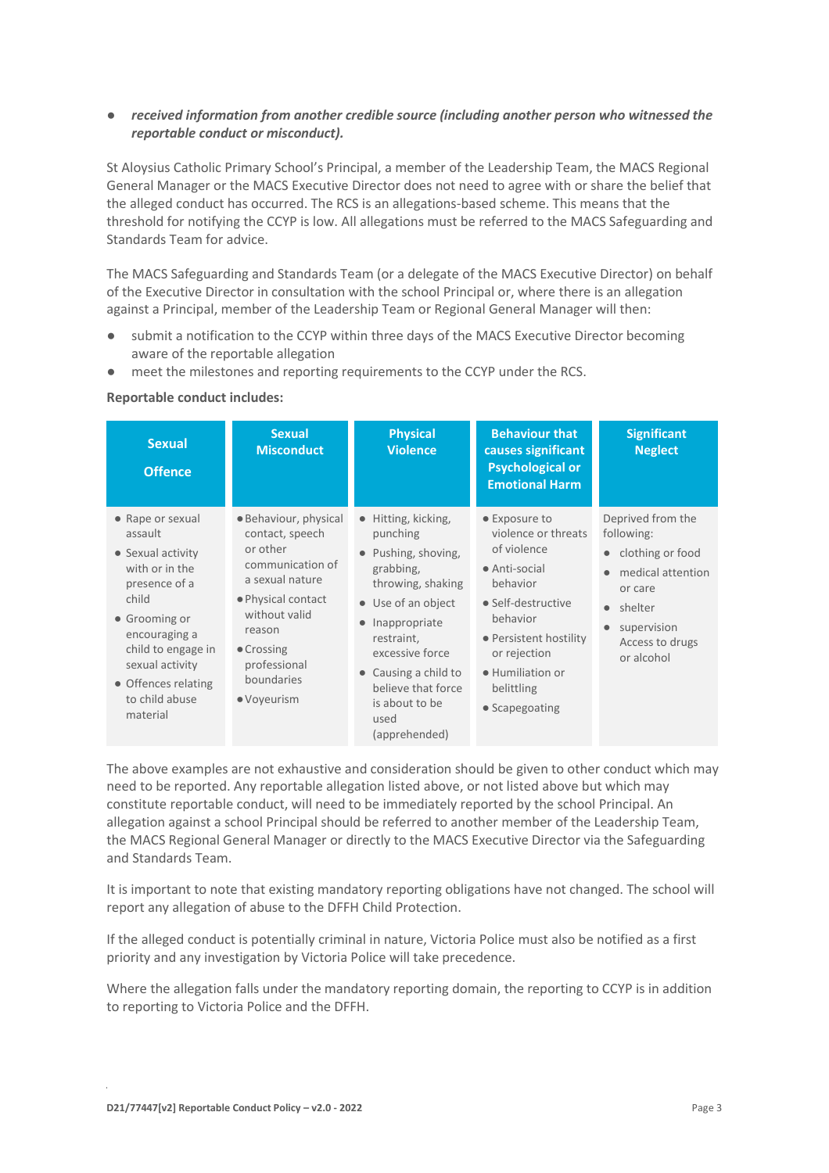#### ● *received information from another credible source (including another person who witnessed the reportable conduct or misconduct).*

St Aloysius Catholic Primary School's Principal, a member of the Leadership Team, the MACS Regional General Manager or the MACS Executive Director does not need to agree with or share the belief that the alleged conduct has occurred. The RCS is an allegations-based scheme. This means that the threshold for notifying the CCYP is low. All allegations must be referred to the MACS Safeguarding and Standards Team for advice.

The MACS Safeguarding and Standards Team (or a delegate of the MACS Executive Director) on behalf of the Executive Director in consultation with the school Principal or, where there is an allegation against a Principal, member of the Leadership Team or Regional General Manager will then:

- submit a notification to the CCYP within three days of the MACS Executive Director becoming aware of the reportable allegation
- meet the milestones and reporting requirements to the CCYP under the RCS.

#### **Reportable conduct includes:**

| <b>Sexual</b><br><b>Offence</b>                                                                                                                                                                                              | <b>Sexual</b><br><b>Misconduct</b>                                                                                                                                                                      | <b>Physical</b><br><b>Violence</b>                                                                                                                                                                                                                        | <b>Behaviour that</b><br>causes significant<br><b>Psychological or</b><br><b>Emotional Harm</b>                                                                                                                  | <b>Significant</b><br><b>Neglect</b>                                                                                                           |
|------------------------------------------------------------------------------------------------------------------------------------------------------------------------------------------------------------------------------|---------------------------------------------------------------------------------------------------------------------------------------------------------------------------------------------------------|-----------------------------------------------------------------------------------------------------------------------------------------------------------------------------------------------------------------------------------------------------------|------------------------------------------------------------------------------------------------------------------------------------------------------------------------------------------------------------------|------------------------------------------------------------------------------------------------------------------------------------------------|
| • Rape or sexual<br>assault<br>• Sexual activity<br>with or in the<br>presence of a<br>child<br>• Grooming or<br>encouraging a<br>child to engage in<br>sexual activity<br>• Offences relating<br>to child abuse<br>material | • Behaviour, physical<br>contact, speech<br>or other<br>communication of<br>a sexual nature<br>• Physical contact<br>without valid<br>reason<br>• Crossing<br>professional<br>boundaries<br>• Voyeurism | • Hitting, kicking,<br>punching<br>• Pushing, shoving,<br>grabbing,<br>throwing, shaking<br>• Use of an object<br>Inappropriate<br>restraint,<br>excessive force<br>• Causing a child to<br>believe that force<br>is about to be<br>used<br>(apprehended) | • Exposure to<br>violence or threats<br>of violence<br>• Anti-social<br>behavior<br>• Self-destructive<br>behavior<br>• Persistent hostility<br>or rejection<br>· Humiliation or<br>belittling<br>• Scapegoating | Deprived from the<br>following:<br>clothing or food<br>medical attention<br>or care<br>shelter<br>supervision<br>Access to drugs<br>or alcohol |

The above examples are not exhaustive and consideration should be given to other conduct which may need to be reported. Any reportable allegation listed above, or not listed above but which may constitute reportable conduct, will need to be immediately reported by the school Principal. An allegation against a school Principal should be referred to another member of the Leadership Team, the MACS Regional General Manager or directly to the MACS Executive Director via the Safeguarding and Standards Team.

It is important to note that existing mandatory reporting obligations have not changed. The school will report any allegation of abuse to the DFFH Child Protection.

If the alleged conduct is potentially criminal in nature, Victoria Police must also be notified as a first priority and any investigation by Victoria Police will take precedence.

Where the allegation falls under the mandatory reporting domain, the reporting to CCYP is in addition to reporting to Victoria Police and the DFFH.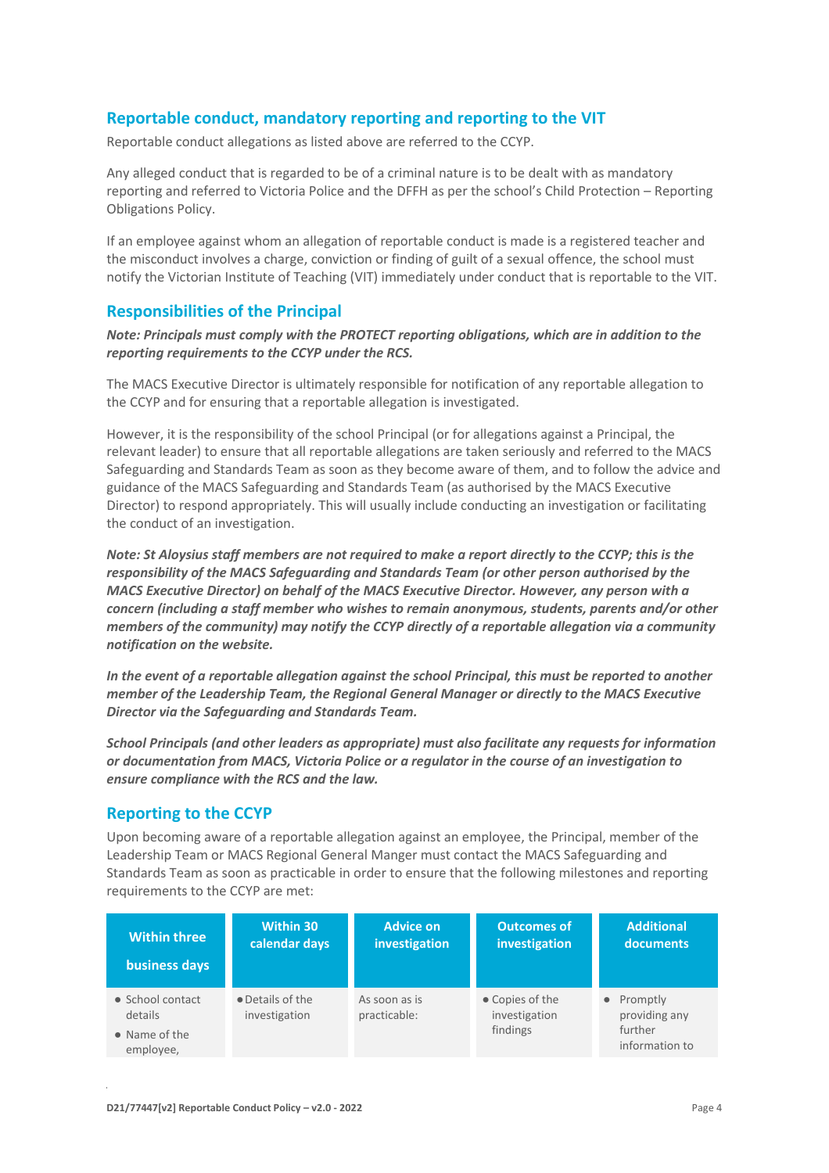### **Reportable conduct, mandatory reporting and reporting to the VIT**

Reportable conduct allegations as listed above are referred to the CCYP.

Any alleged conduct that is regarded to be of a criminal nature is to be dealt with as mandatory reporting and referred to Victoria Police and the DFFH as per the school's Child Protection – Reporting Obligations Policy.

If an employee against whom an allegation of reportable conduct is made is a registered teacher and the misconduct involves a charge, conviction or finding of guilt of a sexual offence, the school must notify the Victorian Institute of Teaching (VIT) immediately under conduct that is reportable to the VIT.

### **Responsibilities of the Principal**

*Note: Principals must comply with the PROTECT reporting obligations, which are in addition to the reporting requirements to the CCYP under the RCS.*

The MACS Executive Director is ultimately responsible for notification of any reportable allegation to the CCYP and for ensuring that a reportable allegation is investigated.

However, it is the responsibility of the school Principal (or for allegations against a Principal, the relevant leader) to ensure that all reportable allegations are taken seriously and referred to the MACS Safeguarding and Standards Team as soon as they become aware of them, and to follow the advice and guidance of the MACS Safeguarding and Standards Team (as authorised by the MACS Executive Director) to respond appropriately. This will usually include conducting an investigation or facilitating the conduct of an investigation.

*Note: St Aloysius staff members are not required to make a report directly to the CCYP; this is the responsibility of the MACS Safeguarding and Standards Team (or other person authorised by the MACS Executive Director) on behalf of the MACS Executive Director. However, any person with a concern (including a staff member who wishes to remain anonymous, students, parents and/or other members of the community) may notify the CCYP directly of a reportable allegation via a community notification on the website.*

*In the event of a reportable allegation against the school Principal, this must be reported to another member of the Leadership Team, the Regional General Manager or directly to the MACS Executive Director via the Safeguarding and Standards Team.*

*School Principals (and other leaders as appropriate) must also facilitate any requests for information or documentation from MACS, Victoria Police or a regulator in the course of an investigation to ensure compliance with the RCS and the law.*

### **Reporting to the CCYP**

Upon becoming aware of a reportable allegation against an employee, the Principal, member of the Leadership Team or MACS Regional General Manger must contact the MACS Safeguarding and Standards Team as soon as practicable in order to ensure that the following milestones and reporting requirements to the CCYP are met:

| <b>Within three</b>                                               | <b>Within 30</b>                  | <b>Advice on</b>              | <b>Outcomes of</b>                           | <b>Additional</b>                                        |
|-------------------------------------------------------------------|-----------------------------------|-------------------------------|----------------------------------------------|----------------------------------------------------------|
| business days                                                     | calendar days                     | investigation                 | investigation                                | <b>documents</b>                                         |
| $\bullet$ School contact<br>details<br>• Name of the<br>employee, | • Details of the<br>investigation | As soon as is<br>practicable: | • Copies of the<br>investigation<br>findings | • Promptly<br>providing any<br>further<br>information to |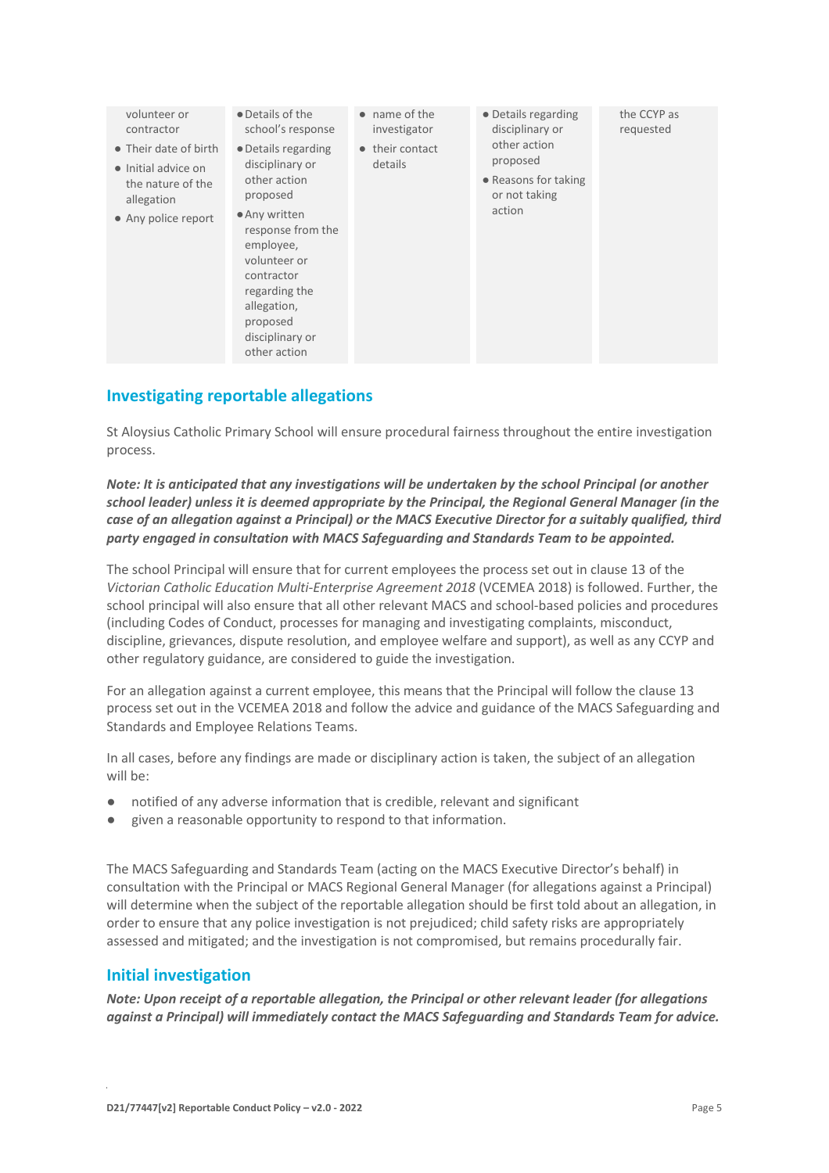| volunteer or<br>contractor<br>• Their date of birth<br>• Initial advice on<br>the nature of the<br>allegation<br>• Any police report | • Details of the<br>school's response<br>• Details regarding<br>disciplinary or<br>other action<br>proposed<br>• Any written<br>response from the<br>employee,<br>volunteer or<br>contractor<br>regarding the<br>allegation,<br>proposed<br>disciplinary or<br>other action | $\bullet$ name of the<br>investigator<br>• their contact<br>details | • Details regarding<br>disciplinary or<br>other action<br>proposed<br>• Reasons for taking<br>or not taking<br>action | the CCYP as<br>requested |
|--------------------------------------------------------------------------------------------------------------------------------------|-----------------------------------------------------------------------------------------------------------------------------------------------------------------------------------------------------------------------------------------------------------------------------|---------------------------------------------------------------------|-----------------------------------------------------------------------------------------------------------------------|--------------------------|
|--------------------------------------------------------------------------------------------------------------------------------------|-----------------------------------------------------------------------------------------------------------------------------------------------------------------------------------------------------------------------------------------------------------------------------|---------------------------------------------------------------------|-----------------------------------------------------------------------------------------------------------------------|--------------------------|

## **Investigating reportable allegations**

St Aloysius Catholic Primary School will ensure procedural fairness throughout the entire investigation process.

*Note: It is anticipated that any investigations will be undertaken by the school Principal (or another school leader) unless it is deemed appropriate by the Principal, the Regional General Manager (in the case of an allegation against a Principal) or the MACS Executive Director for a suitably qualified, third party engaged in consultation with MACS Safeguarding and Standards Team to be appointed.*

The school Principal will ensure that for current employees the process set out in clause 13 of the *Victorian Catholic Education Multi-Enterprise Agreement 2018* (VCEMEA 2018) is followed. Further, the school principal will also ensure that all other relevant MACS and school-based policies and procedures (including Codes of Conduct, processes for managing and investigating complaints, misconduct, discipline, grievances, dispute resolution, and employee welfare and support), as well as any CCYP and other regulatory guidance, are considered to guide the investigation.

For an allegation against a current employee, this means that the Principal will follow the clause 13 process set out in the VCEMEA 2018 and follow the advice and guidance of the MACS Safeguarding and Standards and Employee Relations Teams.

In all cases, before any findings are made or disciplinary action is taken, the subject of an allegation will be:

- notified of any adverse information that is credible, relevant and significant
- given a reasonable opportunity to respond to that information.

The MACS Safeguarding and Standards Team (acting on the MACS Executive Director's behalf) in consultation with the Principal or MACS Regional General Manager (for allegations against a Principal) will determine when the subject of the reportable allegation should be first told about an allegation, in order to ensure that any police investigation is not prejudiced; child safety risks are appropriately assessed and mitigated; and the investigation is not compromised, but remains procedurally fair.

#### **Initial investigation**

*Note: Upon receipt of a reportable allegation, the Principal or other relevant leader (for allegations against a Principal) will immediately contact the MACS Safeguarding and Standards Team for advice.*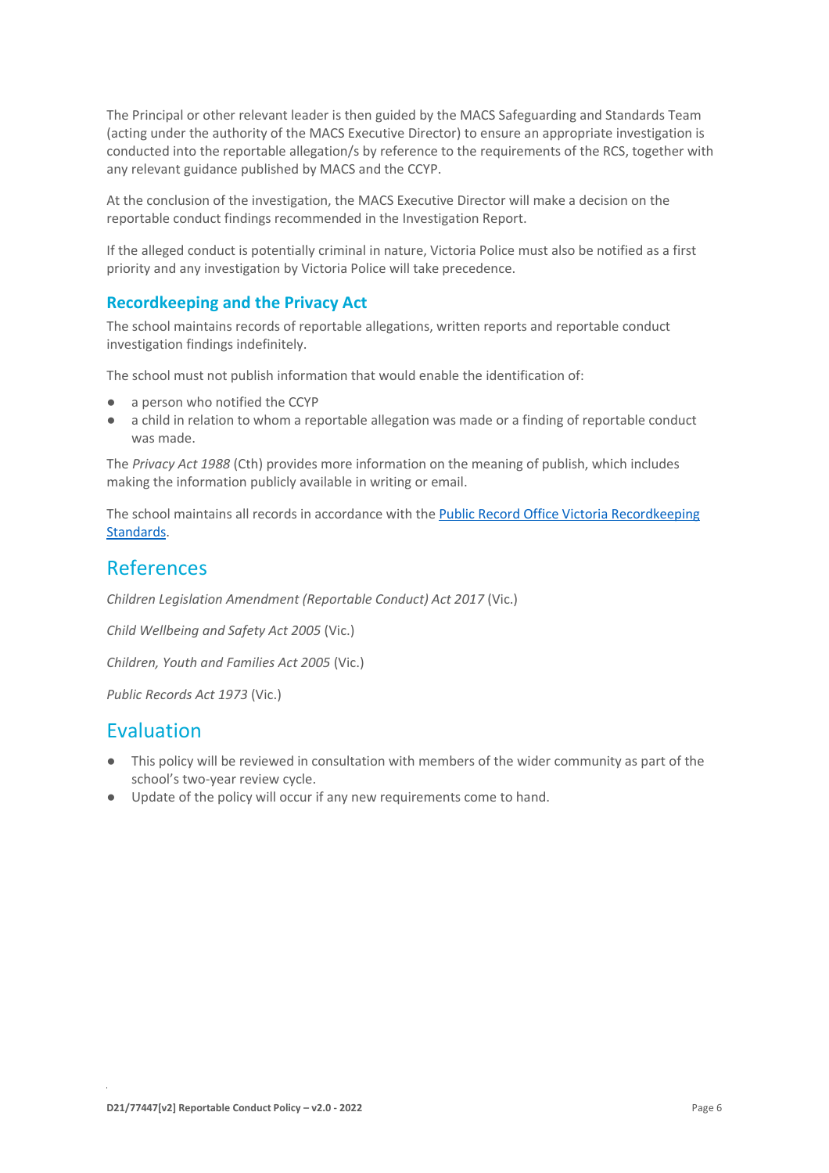The Principal or other relevant leader is then guided by the MACS Safeguarding and Standards Team (acting under the authority of the MACS Executive Director) to ensure an appropriate investigation is conducted into the reportable allegation/s by reference to the requirements of the RCS, together with any relevant guidance published by MACS and the CCYP.

At the conclusion of the investigation, the MACS Executive Director will make a decision on the reportable conduct findings recommended in the Investigation Report.

If the alleged conduct is potentially criminal in nature, Victoria Police must also be notified as a first priority and any investigation by Victoria Police will take precedence.

### **Recordkeeping and the Privacy Act**

The school maintains records of reportable allegations, written reports and reportable conduct investigation findings indefinitely.

The school must not publish information that would enable the identification of:

- a person who notified the CCYP
- a child in relation to whom a reportable allegation was made or a finding of reportable conduct was made.

The *Privacy Act 1988* (Cth) provides more information on the meaning of publish, which includes making the information publicly available in writing or email.

The school maintains all records in accordance with the Public Record Office Victoria Recordkeeping [Standards.](https://prov.vic.gov.au/recordkeeping-government/standards-framework)

## References

*Children Legislation Amendment (Reportable Conduct) Act 2017* (Vic.)

*Child Wellbeing and Safety Act 2005* (Vic.)

*Children, Youth and Families Act 2005* (Vic.)

*Public Records Act 1973* (Vic.)

## Evaluation

- This policy will be reviewed in consultation with members of the wider community as part of the school's two-year review cycle.
- Update of the policy will occur if any new requirements come to hand.